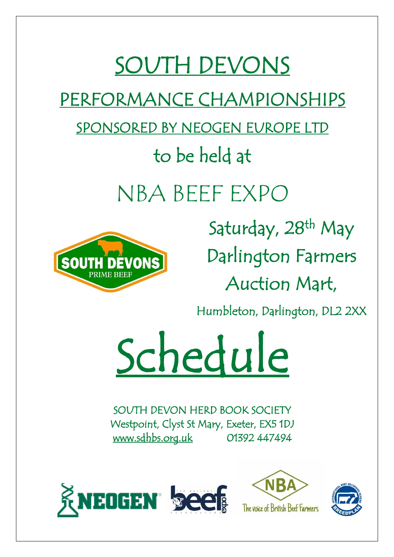# SOUTH DEVONS

PERFORMANCE CHAMPIONSHIPS

SPONSORED BY NEOGEN EUROPE LTD

## to be held at

NBA BEEF EXPO



Saturday, 28<sup>th</sup> May Darlington Farmers Auction Mart,

Humbleton, Darlington, DL2 2XX

Schedule

SOUTH DEVON HERD BOOK SOCIETY Westpoint, Clyst St Mary, Exeter, EX5 1DJ [www.sdhbs.org.uk](http://www.sdhbs.org.uk/) 01392 447494





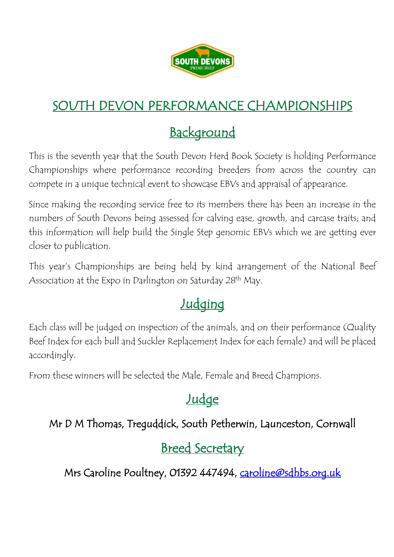

## SOUTH DEVON PERFORMANCE CHAMPIONSHIPS

## Background

This is the seventh year that the South Devon Herd Book Society is holding Performance Championships where performance recording breeders from across the country can compete in a unique technical event to showcase EBVs and appraisal of appearance.

Since making the recording service free to its members there has been an increase in the numbers of South Devons being assessed for calving ease, growth, and carcase traits; and this information will help build the Single Step genomic EBVs which we are getting ever closer to publication.

This year's Championships are being held by kind arrangement of the National Beef Association at the Expo in Darlington on Saturday 28<sup>th</sup> May.

## **Judging**

Each class will be judged on inspection of the animals, and on their performance (Quality Beef Index for each bull and Suckler Replacement Index for each female) and will be placed accordingly.

From these winners will be selected the Male, Female and Breed Champions.

## **Judge**

#### Mr D M Thomas, Treguddick, South Petherwin, Launceston, Cornwall

## Breed Secretary

Mrs Caroline Poultney, 01392 447494, caroline@sdhbs.org.uk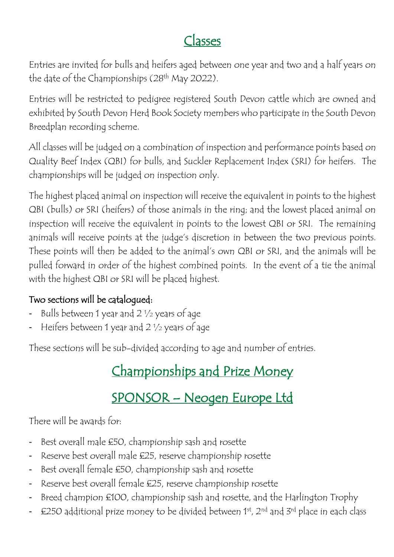## Classes

Entries are invited for bulls and heifers aged between one year and two and a half years on the date of the Championships (28<sup>th</sup> May 2022).

Entries will be restricted to pedigree registered South Devon cattle which are owned and exhibited by South Devon Herd Book Society members who participate in the South Devon Breedplan recording scheme.

All classes will be judged on a combination of inspection and performance points based on Quality Beef Index (QBI) for bulls, and Suckler Replacement Index (SRI) for heifers. The championships will be judged on inspection only.

The highest placed animal on inspection will receive the equivalent in points to the highest QBI (bulls) or SRI (heifers) of those animals in the ring; and the lowest placed animal on inspection will receive the equivalent in points to the lowest QBI or SRI. The remaining animals will receive points at the judge's discretion in between the two previous points. These points will then be added to the animal's own QBI or SRI, and the animals will be pulled forward in order of the highest combined points. In the event of a tie the animal with the highest QBI or SRI will be placed highest.

#### Two sections will be catalogued:

- Bulls between 1 year and 2 1/2 years of age
- Heifers between 1 year and 2 1/2 years of age

These sections will be sub-divided according to age and number of entries.

## Championships and Prize Money

## SPONSOR – Neogen Europe Ltd

There will be awards for:

- Best overall male £50, championship sash and rosette
- Reserve best overall male £25, reserve championship rosette
- Best overall female £50, championship sash and rosette
- Reserve best overall female £25, reserve championship rosette
- Breed champion £100, championship sash and rosette, and the Harlington Trophy
- £250 additional prize money to be divided between 1st, 2nd and 3rd place in each class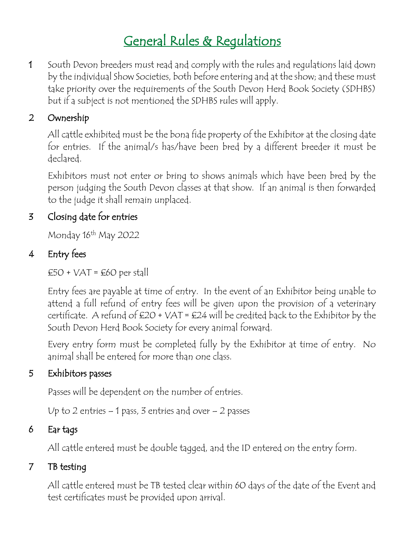## General Rules & Regulations

1 South Devon breeders must read and comply with the rules and regulations laid down by the individual Show Societies, both before entering and at the show; and these must take priority over the requirements of the South Devon Herd Book Society (SDHBS) but if a subject is not mentioned the SDHBS rules will apply.

#### 2 Ownership

All cattle exhibited must be the bona fide property of the Exhibitor at the closing date for entries. If the animal/s has/have been bred by a different breeder it must be declared.

Exhibitors must not enter or bring to shows animals which have been bred by the person judging the South Devon classes at that show. If an animal is then forwarded to the judge it shall remain unplaced.

#### 3 Closing date for entries

Monday 16<sup>th</sup> May 2022

#### 4 Entry fees

 $£50 + VAT = £60$  per stall

Entry fees are payable at time of entry. In the event of an Exhibitor being unable to attend a full refund of entry fees will be given upon the provision of a veterinary certificate. A refund of  $£20 + VAT = £24$  will be credited back to the Exhibitor by the South Devon Herd Book Society for every animal forward.

Every entry form must be completed fully by the Exhibitor at time of entry. No animal shall be entered for more than one class.

#### 5 Exhibitors passes

Passes will be dependent on the number of entries.

Up to 2 entries – 1 pass, 3 entries and over – 2 passes

#### 6 Ear tags

All cattle entered must be double tagged, and the ID entered on the entry form.

#### 7 TB testing

All cattle entered must be TB tested clear within 60 days of the date of the Event and test certificates must be provided upon arrival.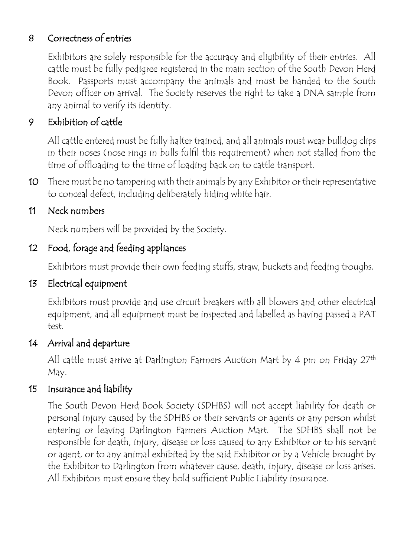#### 8 Correctness of entries

Exhibitors are solely responsible for the accuracy and eligibility of their entries. All cattle must be fully pedigree registered in the main section of the South Devon Herd Book. Passports must accompany the animals and must be handed to the South Devon officer on arrival. The Society reserves the right to take a DNA sample from any animal to verify its identity.

#### 9 Exhibition of cattle

All cattle entered must be fully halter trained, and all animals must wear bulldog clips in their noses (nose rings in bulls fulfil this requirement) when not stalled from the time of offloading to the time of loading back on to cattle transport.

10 There must be no tampering with their animals by any Exhibitor or their representative to conceal defect, including deliberately hiding white hair.

#### 11 Neck numbers

Neck numbers will be provided by the Society.

#### 12 Food, forage and feeding appliances

Exhibitors must provide their own feeding stuffs, straw, buckets and feeding troughs.

#### 13 Electrical equipment

 Exhibitors must provide and use circuit breakers with all blowers and other electrical equipment, and all equipment must be inspected and labelled as having passed a PAT test.

#### 14 Arrival and departure

All cattle must arrive at Darlington Farmers Auction Mart by 4 pm on Friday 27<sup>th</sup> May.

#### 15 Insurance and liability

The South Devon Herd Book Society (SDHBS) will not accept liability for death or personal injury caused by the SDHBS or their servants or agents or any person whilst entering or leaving Darlington Farmers Auction Mart. The SDHBS shall not be responsible for death, injury, disease or loss caused to any Exhibitor or to his servant or agent, or to any animal exhibited by the said Exhibitor or by a Vehicle brought by the Exhibitor to Darlington from whatever cause, death, injury, disease or loss arises. All Exhibitors must ensure they hold sufficient Public Liability insurance.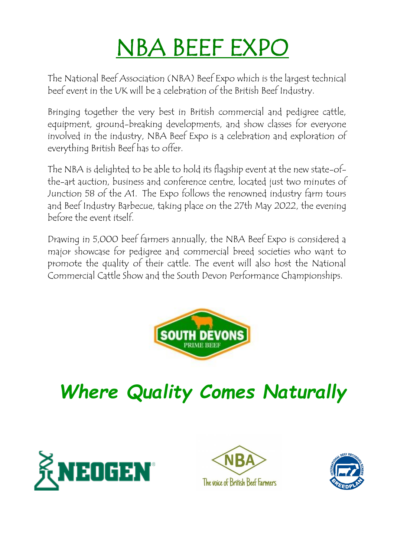# NBA BEEF EXPO

The National Beef Association (NBA) Beef Expo which is the largest technical beef event in the UK will be a celebration of the British Beef Industry.

Bringing together the very best in British commercial and pedigree cattle, equipment, ground-breaking developments, and show classes for everyone involved in the industry, NBA Beef Expo is a celebration and exploration of everything British Beef has to offer.

The NBA is delighted to be able to hold its flagship event at the new state-ofthe-art auction, business and conference centre, located just two minutes of Junction 58 of the A1. The Expo follows the renowned industry farm tours and Beef Industry Barbecue, taking place on the 27th May 2022, the evening before the event itself.

Drawing in 5,000 beef farmers annually, the NBA Beef Expo is considered a major showcase for pedigree and commercial breed societies who want to promote the quality of their cattle. The event will also host the National Commercial Cattle Show and the South Devon Performance Championships.



*Where Quality Comes Naturally*





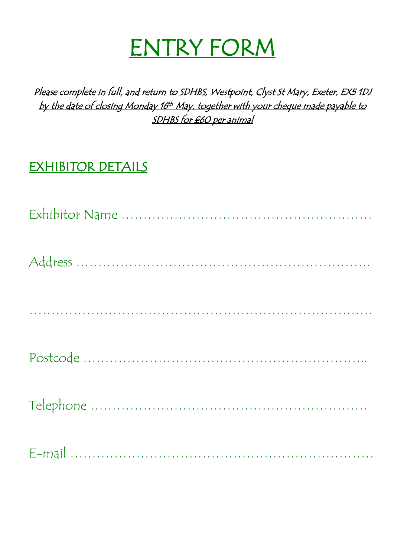# ENTRY FORM

Please complete in full, and return to SDHBS, Westpoint, Clyst St Mary, Exeter, EX5 1DJ by the date of closing Monday 16<sup>th</sup> May, together with your cheque made payable to SDHBS for £60 per animal

## EXHIBITOR DETAILS